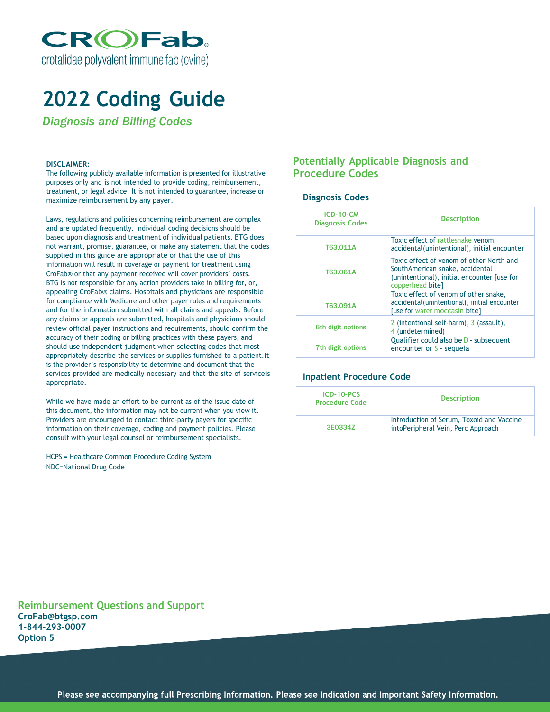

## **2022 Coding Guide**

*Diagnosis and Billing Codes*

#### **DISCLAIMER:**

The following publicly available information is presented for illustrative purposes only and is not intended to provide coding, reimbursement, treatment, or legal advice. It is not intended to guarantee, increase or maximize reimbursement by any payer.

Laws, regulations and policies concerning reimbursement are complex and are updated frequently. Individual coding decisions should be based upon diagnosis and treatment of individual patients. BTG does not warrant, promise, guarantee, or make any statement that the codes supplied in this guide are appropriate or that the use of this information will result in coverage or payment for treatment using CroFab® or that any payment received will cover providers' costs. BTG is not responsible for any action providers take in billing for, or, appealing CroFab® claims. Hospitals and physicians are responsible for compliance with Medicare and other payer rules and requirements and for the information submitted with all claims and appeals. Before any claims or appeals are submitted, hospitals and physicians should review official payer instructions and requirements, should confirm the accuracy of their coding or billing practices with these payers, and should use independent judgment when selecting codes that most appropriately describe the services or supplies furnished to a patient.It is the provider's responsibility to determine and document that the services provided are medically necessary and that the site of serviceis appropriate.

While we have made an effort to be current as of the issue date of this document, the information may not be current when you view it. Providers are encouraged to contact third-party payers for specific information on their coverage, coding and payment policies. Please consult with your legal counsel or reimbursement specialists.

HCPS = Healthcare Common Procedure Coding System NDC=National Drug Code

## **Potentially Applicable Diagnosis and Procedure Codes**

### **Diagnosis Codes**

| <b>ICD-10-CM</b><br><b>Diagnosis Codes</b> | <b>Description</b>                                                                                                                             |
|--------------------------------------------|------------------------------------------------------------------------------------------------------------------------------------------------|
| T63.011A                                   | Toxic effect of rattlesnake venom,<br>accidental(unintentional), initial encounter                                                             |
| T63.061A                                   | Toxic effect of venom of other North and<br>SouthAmerican snake, accidental<br>(unintentional), initial encounter fuse for<br>copperhead bite] |
| T63.091A                                   | Toxic effect of venom of other snake,<br>accidental (unintentional), initial encounter<br>[use for water moccasin bite]                        |
| 6th digit options                          | 2 (intentional self-harm), 3 (assault),<br>4 (undetermined)                                                                                    |
| 7th digit options                          | Qualifier could also be D - subsequent<br>encounter or S - sequela                                                                             |

#### **Inpatient Procedure Code**

| ICD-10-PCS<br><b>Procedure Code</b> | <b>Description</b>                                                              |  |
|-------------------------------------|---------------------------------------------------------------------------------|--|
| 3E0334Z                             | Introduction of Serum, Toxoid and Vaccine<br>intoPeripheral Vein, Perc Approach |  |

**Reimbursement Questions and Support CroFab@btgsp.com 1-844-293-0007 Option 5**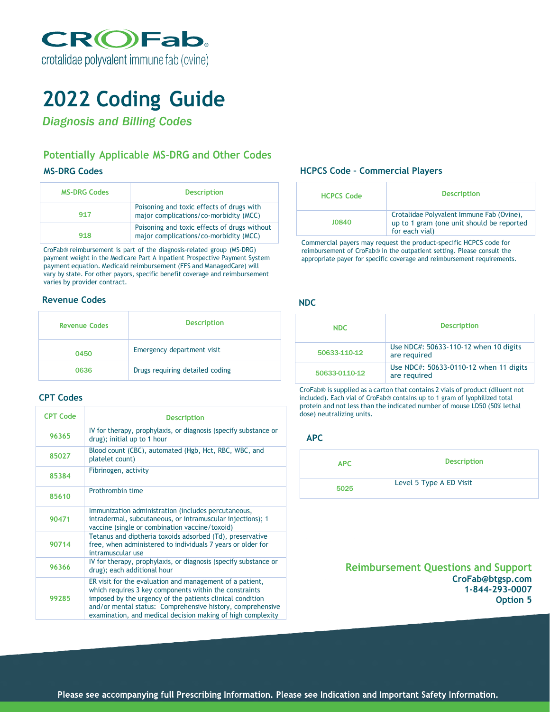

# **2022 Coding Guide**

*Diagnosis and Billing Codes*

## **Potentially Applicable MS-DRG and Other Codes**

## **MS-DRG Codes**

| <b>MS-DRG Codes</b> | <b>Description</b>                                                                     |
|---------------------|----------------------------------------------------------------------------------------|
| 917                 | Poisoning and toxic effects of drugs with<br>major complications/co-morbidity (MCC)    |
| 918                 | Poisoning and toxic effects of drugs without<br>major complications/co-morbidity (MCC) |

CroFab® reimbursement is part of the diagnosis-related group (MS-DRG) payment weight in the Medicare Part A Inpatient Prospective Payment System payment equation. Medicaid reimbursement (FFS and ManagedCare) will vary by state. For other payors, specific benefit coverage and reimbursement varies by provider contract.

## **Revenue Codes**

| <b>Revenue Codes</b> | <b>Description</b>              |
|----------------------|---------------------------------|
| 0450                 | Emergency department visit      |
| 0636                 | Drugs requiring detailed coding |

## **CPT Codes**

| <b>CPT Code</b> | <b>Description</b>                                                                                                                                                                                                                                                                                           |
|-----------------|--------------------------------------------------------------------------------------------------------------------------------------------------------------------------------------------------------------------------------------------------------------------------------------------------------------|
| 96365           | IV for therapy, prophylaxis, or diagnosis (specify substance or<br>drug); initial up to 1 hour                                                                                                                                                                                                               |
| 85027           | Blood count (CBC), automated (Hgb, Hct, RBC, WBC, and<br>platelet count)                                                                                                                                                                                                                                     |
| 85384           | Fibrinogen, activity                                                                                                                                                                                                                                                                                         |
| 85610           | Prothrombin time                                                                                                                                                                                                                                                                                             |
| 90471           | Immunization administration (includes percutaneous,<br>intradermal, subcutaneous, or intramuscular injections); 1<br>vaccine (single or combination vaccine/toxoid)                                                                                                                                          |
| 90714           | Tetanus and diptheria toxoids adsorbed (Td), preservative<br>free, when administered to individuals 7 years or older for<br>intramuscular use                                                                                                                                                                |
| 96366           | IV for therapy, prophylaxis, or diagnosis (specify substance or<br>drug); each additional hour                                                                                                                                                                                                               |
| 99285           | ER visit for the evaluation and management of a patient,<br>which requires 3 key components within the constraints<br>imposed by the urgency of the patients clinical condition<br>and/or mental status: Comprehensive history, comprehensive<br>examination, and medical decision making of high complexity |

## **HCPCS Code – Commercial Players**

| <b>HCPCS Code</b> | <b>Description</b>                                                                                       |
|-------------------|----------------------------------------------------------------------------------------------------------|
| 10840             | Crotalidae Polyvalent Immune Fab (Ovine),<br>up to 1 gram (one unit should be reported<br>for each vial) |

Commercial payers may request the product-specific HCPCS code for reimbursement of CroFab® in the outpatient setting. Please consult the appropriate payer for specific coverage and reimbursement requirements.

## **NDC**

| NDC.          | <b>Description</b>                                     |
|---------------|--------------------------------------------------------|
| 50633-110-12  | Use NDC#: 50633-110-12 when 10 digits<br>are required  |
| 50633-0110-12 | Use NDC#: 50633-0110-12 when 11 digits<br>are required |

CroFab® is supplied as a carton that contains 2 vials of product (diluent not included). Each vial of CroFab® contains up to 1 gram of lyophilized total protein and not less than the indicated number of mouse LD50 (50% lethal dose) neutralizing units.

## **APC**

| <b>APC</b> | <b>Description</b>      |
|------------|-------------------------|
| 5025       | Level 5 Type A ED Visit |

**Reimbursement Questions and Support CroFab@btgsp.com 1-844-293-0007 Option 5**